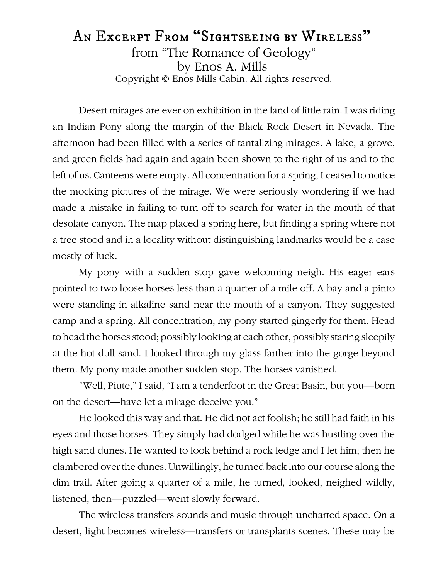## An Excerpt From "Sightseeing by Wireless" from "The Romance of Geology" by Enos A. Mills Copyright © Enos Mills Cabin. All rights reserved.

Desert mirages are ever on exhibition in the land of little rain. I was riding an Indian Pony along the margin of the Black Rock Desert in Nevada. The afternoon had been filled with a series of tantalizing mirages. A lake, a grove, and green fields had again and again been shown to the right of us and to the left of us. Canteens were empty. All concentration for a spring, I ceased to notice the mocking pictures of the mirage. We were seriously wondering if we had made a mistake in failing to turn off to search for water in the mouth of that desolate canyon. The map placed a spring here, but finding a spring where not a tree stood and in a locality without distinguishing landmarks would be a case mostly of luck.

My pony with a sudden stop gave welcoming neigh. His eager ears pointed to two loose horses less than a quarter of a mile off. A bay and a pinto were standing in alkaline sand near the mouth of a canyon. They suggested camp and a spring. All concentration, my pony started gingerly for them. Head to head the horses stood; possibly looking at each other, possibly staring sleepily at the hot dull sand. I looked through my glass farther into the gorge beyond them. My pony made another sudden stop. The horses vanished.

"Well, Piute," I said, "I am a tenderfoot in the Great Basin, but you—born on the desert—have let a mirage deceive you."

He looked this way and that. He did not act foolish; he still had faith in his eyes and those horses. They simply had dodged while he was hustling over the high sand dunes. He wanted to look behind a rock ledge and I let him; then he clambered over the dunes. Unwillingly, he turned back into our course along the dim trail. After going a quarter of a mile, he turned, looked, neighed wildly, listened, then—puzzled—went slowly forward.

The wireless transfers sounds and music through uncharted space. On a desert, light becomes wireless—transfers or transplants scenes. These may be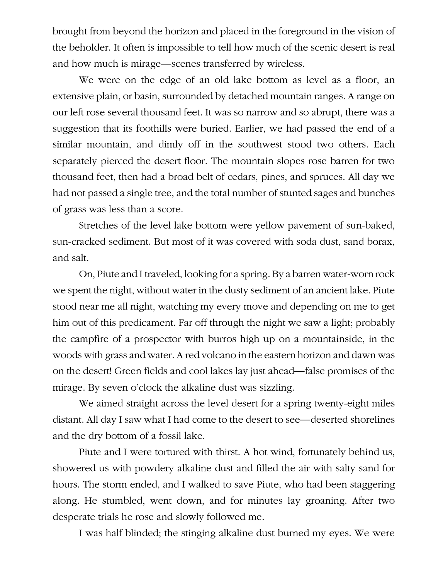brought from beyond the horizon and placed in the foreground in the vision of the beholder. It often is impossible to tell how much of the scenic desert is real and how much is mirage—scenes transferred by wireless.

We were on the edge of an old lake bottom as level as a floor, an extensive plain, or basin, surrounded by detached mountain ranges. A range on our left rose several thousand feet. It was so narrow and so abrupt, there was a suggestion that its foothills were buried. Earlier, we had passed the end of a similar mountain, and dimly off in the southwest stood two others. Each separately pierced the desert floor. The mountain slopes rose barren for two thousand feet, then had a broad belt of cedars, pines, and spruces. All day we had not passed a single tree, and the total number of stunted sages and bunches of grass was less than a score.

Stretches of the level lake bottom were yellow pavement of sun-baked, sun-cracked sediment. But most of it was covered with soda dust, sand borax, and salt.

On, Piute and I traveled, looking for a spring. By a barren water-worn rock we spent the night, without water in the dusty sediment of an ancient lake. Piute stood near me all night, watching my every move and depending on me to get him out of this predicament. Far off through the night we saw a light; probably the campfire of a prospector with burros high up on a mountainside, in the woods with grass and water. A red volcano in the eastern horizon and dawn was on the desert! Green fields and cool lakes lay just ahead—false promises of the mirage. By seven o'clock the alkaline dust was sizzling.

We aimed straight across the level desert for a spring twenty-eight miles distant. All day I saw what I had come to the desert to see—deserted shorelines and the dry bottom of a fossil lake.

Piute and I were tortured with thirst. A hot wind, fortunately behind us, showered us with powdery alkaline dust and filled the air with salty sand for hours. The storm ended, and I walked to save Piute, who had been staggering along. He stumbled, went down, and for minutes lay groaning. After two desperate trials he rose and slowly followed me.

I was half blinded; the stinging alkaline dust burned my eyes. We were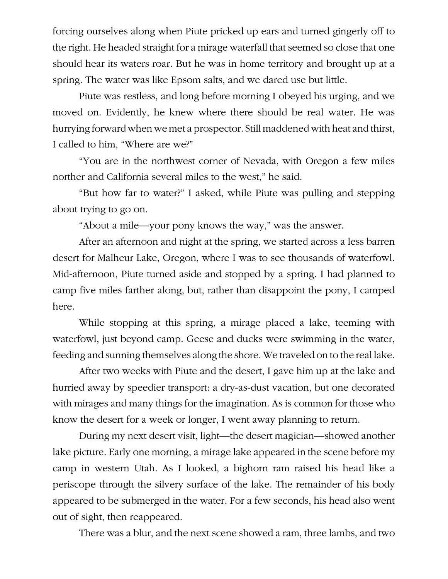forcing ourselves along when Piute pricked up ears and turned gingerly off to the right. He headed straight for a mirage waterfall that seemed so close that one should hear its waters roar. But he was in home territory and brought up at a spring. The water was like Epsom salts, and we dared use but little.

Piute was restless, and long before morning I obeyed his urging, and we moved on. Evidently, he knew where there should be real water. He was hurrying forward when we met a prospector. Still maddened with heat and thirst, I called to him, "Where are we?"

"You are in the northwest corner of Nevada, with Oregon a few miles norther and California several miles to the west," he said.

"But how far to water?" I asked, while Piute was pulling and stepping about trying to go on.

"About a mile—your pony knows the way," was the answer.

After an afternoon and night at the spring, we started across a less barren desert for Malheur Lake, Oregon, where I was to see thousands of waterfowl. Mid-afternoon, Piute turned aside and stopped by a spring. I had planned to camp five miles farther along, but, rather than disappoint the pony, I camped here.

While stopping at this spring, a mirage placed a lake, teeming with waterfowl, just beyond camp. Geese and ducks were swimming in the water, feeding and sunning themselves along the shore. We traveled on to the real lake.

After two weeks with Piute and the desert, I gave him up at the lake and hurried away by speedier transport: a dry-as-dust vacation, but one decorated with mirages and many things for the imagination. As is common for those who know the desert for a week or longer, I went away planning to return.

During my next desert visit, light—the desert magician—showed another lake picture. Early one morning, a mirage lake appeared in the scene before my camp in western Utah. As I looked, a bighorn ram raised his head like a periscope through the silvery surface of the lake. The remainder of his body appeared to be submerged in the water. For a few seconds, his head also went out of sight, then reappeared.

There was a blur, and the next scene showed a ram, three lambs, and two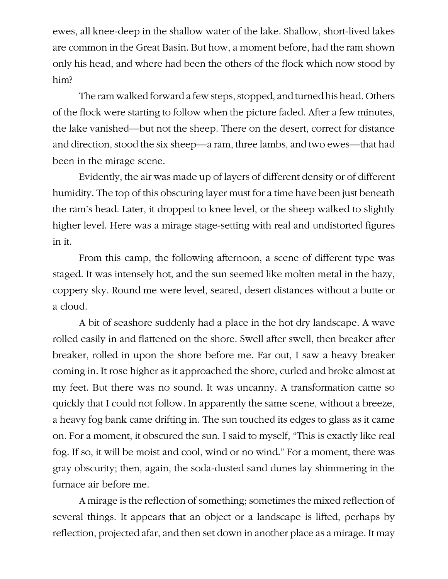ewes, all knee-deep in the shallow water of the lake. Shallow, short-lived lakes are common in the Great Basin. But how, a moment before, had the ram shown only his head, and where had been the others of the flock which now stood by him?

The ram walked forward a few steps, stopped, and turned his head. Others of the flock were starting to follow when the picture faded. After a few minutes, the lake vanished—but not the sheep. There on the desert, correct for distance and direction, stood the six sheep—a ram, three lambs, and two ewes—that had been in the mirage scene.

Evidently, the air was made up of layers of different density or of different humidity. The top of this obscuring layer must for a time have been just beneath the ram's head. Later, it dropped to knee level, or the sheep walked to slightly higher level. Here was a mirage stage-setting with real and undistorted figures in it.

From this camp, the following afternoon, a scene of different type was staged. It was intensely hot, and the sun seemed like molten metal in the hazy, coppery sky. Round me were level, seared, desert distances without a butte or a cloud.

A bit of seashore suddenly had a place in the hot dry landscape. A wave rolled easily in and flattened on the shore. Swell after swell, then breaker after breaker, rolled in upon the shore before me. Far out, I saw a heavy breaker coming in. It rose higher as it approached the shore, curled and broke almost at my feet. But there was no sound. It was uncanny. A transformation came so quickly that I could not follow. In apparently the same scene, without a breeze, a heavy fog bank came drifting in. The sun touched its edges to glass as it came on. For a moment, it obscured the sun. I said to myself, "This is exactly like real fog. If so, it will be moist and cool, wind or no wind." For a moment, there was gray obscurity; then, again, the soda-dusted sand dunes lay shimmering in the furnace air before me.

A mirage is the reflection of something; sometimes the mixed reflection of several things. It appears that an object or a landscape is lifted, perhaps by reflection, projected afar, and then set down in another place as a mirage. It may